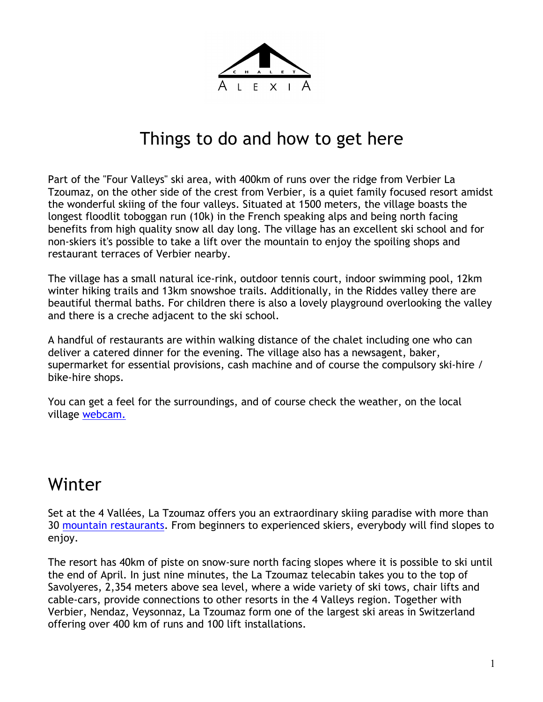

## Things to do and how to get here

Part of the "Four Valleys" ski area, with 400km of runs over the ridge from Verbier La Tzoumaz, on the other side of the crest from Verbier, is a quiet family focused resort amidst the wonderful skiing of the four valleys. Situated at 1500 meters, the village boasts the longest floodlit toboggan run (10k) in the French speaking alps and being north facing benefits from high quality snow all day long. The village has an excellent ski school and for non-skiers it's possible to take a lift over the mountain to enjoy the spoiling shops and restaurant terraces of Verbier nearby.

The village has a small natural ice-rink, outdoor tennis court, indoor swimming pool, 12km winter hiking trails and 13km snowshoe trails. Additionally, in the Riddes valley there are beautiful thermal baths. For children there is also a lovely playground overlooking the valley and there is a creche adjacent to the ski school.

A handful of restaurants are within walking distance of the chalet including one who can deliver a catered dinner for the evening. The village also has a newsagent, baker, supermarket for essential provisions, cash machine and of course the compulsory ski-hire / bike-hire shops.

You can get a feel for the surroundings, and of course check the weather, on the local village webcam.

## Winter

Set at the 4 Vallées, La Tzoumaz offers you an extraordinary skiing paradise with more than 30 mountain restaurants. From beginners to experienced skiers, everybody will find slopes to enjoy.

The resort has 40km of piste on snow-sure north facing slopes where it is possible to ski until the end of April. In just nine minutes, the La Tzoumaz telecabin takes you to the top of Savolyeres, 2,354 meters above sea level, where a wide variety of ski tows, chair lifts and cable-cars, provide connections to other resorts in the 4 Valleys region. Together with Verbier, Nendaz, Veysonnaz, La Tzoumaz form one of the largest ski areas in Switzerland offering over 400 km of runs and 100 lift installations.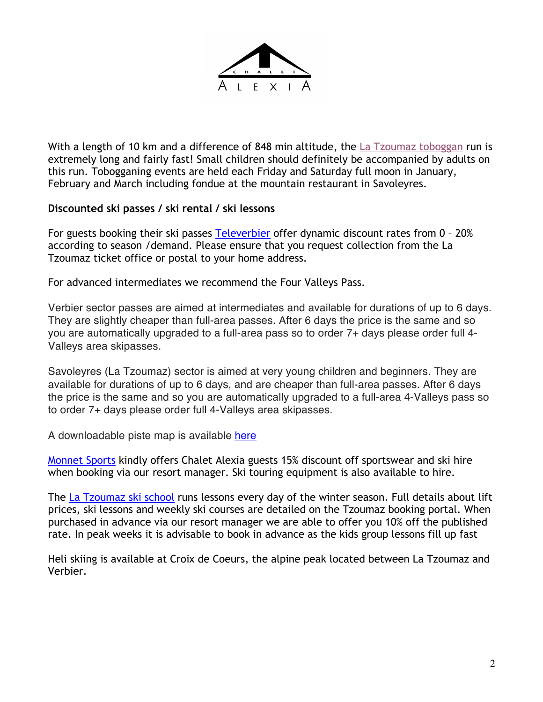

With a length of 10 km and a difference of 848 min altitude, the La Tzoumaz toboggan run is extremely long and fairly fast! Small children should definitely be accompanied by adults on this run. Tobogganing events are held each Friday and Saturday full moon in January, February and March including fondue at the mountain restaurant in Savoleyres.

#### **Discounted ski passes / ski rental / ski lessons**

For guests booking their ski passes Televerbier offer dynamic discount rates from 0 - 20% according to season /demand. Please ensure that you request collection from the La Tzoumaz ticket office or postal to your home address.

For advanced intermediates we recommend the Four Valleys Pass.

Verbier sector passes are aimed at intermediates and available for durations of up to 6 days. They are slightly cheaper than full-area passes. After 6 days the price is the same and so you are automatically upgraded to a full-area pass so to order 7+ days please order full 4- Valleys area skipasses.

Savoleyres (La Tzoumaz) sector is aimed at very young children and beginners. They are available for durations of up to 6 days, and are cheaper than full-area passes. After 6 days the price is the same and so you are automatically upgraded to a full-area 4-Valleys pass so to order 7+ days please order full 4-Valleys area skipasses.

A downloadable piste map is available here

Monnet Sports kindly offers Chalet Alexia guests 15% discount off sportswear and ski hire when booking via our resort manager. Ski touring equipment is also available to hire.

The La Tzoumaz ski school runs lessons every day of the winter season. Full details about lift prices, ski lessons and weekly ski courses are detailed on the Tzoumaz booking portal. When purchased in advance via our resort manager we are able to offer you 10% off the published rate. In peak weeks it is advisable to book in advance as the kids group lessons fill up fast

Heli skiing is available at Croix de Coeurs, the alpine peak located between La Tzoumaz and Verbier.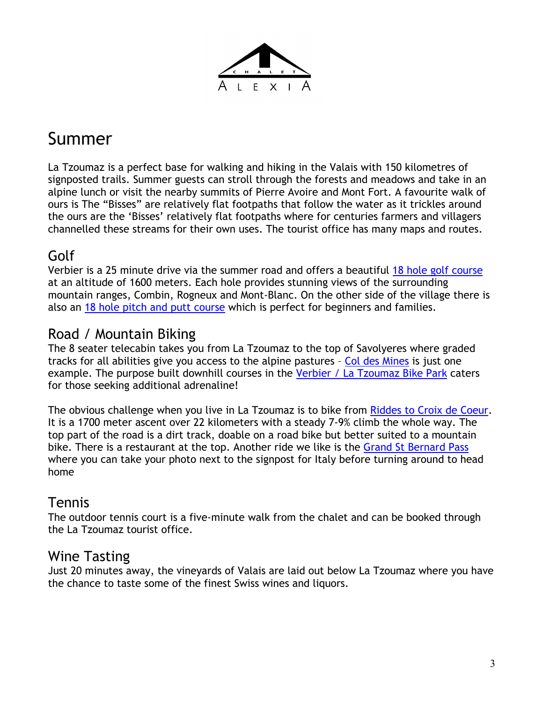

## Summer

La Tzoumaz is a perfect base for walking and hiking in the Valais with 150 kilometres of signposted trails. Summer guests can stroll through the forests and meadows and take in an alpine lunch or visit the nearby summits of Pierre Avoire and Mont Fort. A favourite walk of ours is The "Bisses" are relatively flat footpaths that follow the water as it trickles around the ours are the 'Bisses' relatively flat footpaths where for centuries farmers and villagers channelled these streams for their own uses. The tourist office has many maps and routes.

### Golf

Verbier is a 25 minute drive via the summer road and offers a beautiful 18 hole golf course at an altitude of 1600 meters. Each hole provides stunning views of the surrounding mountain ranges, Combin, Rogneux and Mont-Blanc. On the other side of the village there is also an 18 hole pitch and putt course which is perfect for beginners and families.

### Road / Mountain Biking

The 8 seater telecabin takes you from La Tzoumaz to the top of Savolyeres where graded tracks for all abilities give you access to the alpine pastures – Col des Mines is just one example. The purpose built downhill courses in the Verbier / La Tzoumaz Bike Park caters for those seeking additional adrenaline!

The obvious challenge when you live in La Tzoumaz is to bike from Riddes to Croix de Coeur. It is a 1700 meter ascent over 22 kilometers with a steady 7-9% climb the whole way. The top part of the road is a dirt track, doable on a road bike but better suited to a mountain bike. There is a restaurant at the top. Another ride we like is the Grand St Bernard Pass where you can take your photo next to the signpost for Italy before turning around to head home

### Tennis

The outdoor tennis court is a five-minute walk from the chalet and can be booked through the La Tzoumaz tourist office.

#### Wine Tasting

Just 20 minutes away, the vineyards of Valais are laid out below La Tzoumaz where you have the chance to taste some of the finest Swiss wines and liquors.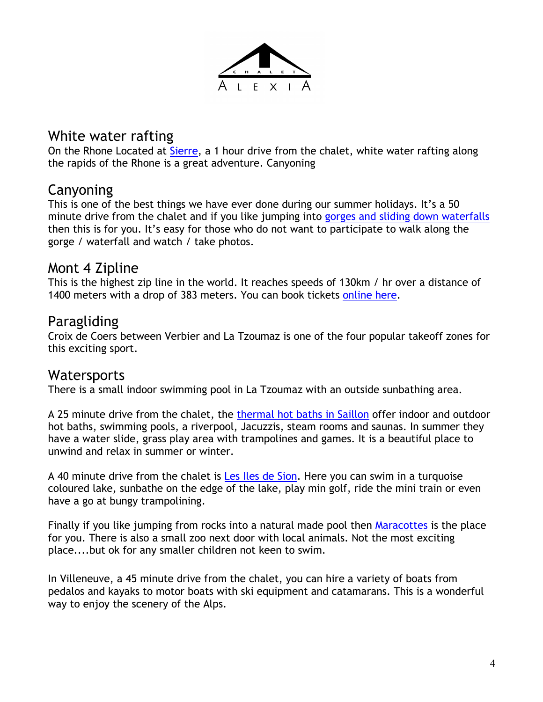

### White water rafting

On the Rhone Located at Sierre, a 1 hour drive from the chalet, white water rafting along the rapids of the Rhone is a great adventure. Canyoning

### Canyoning

This is one of the best things we have ever done during our summer holidays. It's a 50 minute drive from the chalet and if you like jumping into gorges and sliding down waterfalls then this is for you. It's easy for those who do not want to participate to walk along the gorge / waterfall and watch / take photos.

#### Mont 4 Zipline

This is the highest zip line in the world. It reaches speeds of 130km / hr over a distance of 1400 meters with a drop of 383 meters. You can book tickets online here.

#### Paragliding

Croix de Coers between Verbier and La Tzoumaz is one of the four popular takeoff zones for this exciting sport.

#### **Watersports**

There is a small indoor swimming pool in La Tzoumaz with an outside sunbathing area.

A 25 minute drive from the chalet, the thermal hot baths in Saillon offer indoor and outdoor hot baths, swimming pools, a riverpool, Jacuzzis, steam rooms and saunas. In summer they have a water slide, grass play area with trampolines and games. It is a beautiful place to unwind and relax in summer or winter.

A 40 minute drive from the chalet is Les Iles de Sion. Here you can swim in a turquoise coloured lake, sunbathe on the edge of the lake, play min golf, ride the mini train or even have a go at bungy trampolining.

Finally if you like jumping from rocks into a natural made pool then Maracottes is the place for you. There is also a small zoo next door with local animals. Not the most exciting place....but ok for any smaller children not keen to swim.

In Villeneuve, a 45 minute drive from the chalet, you can hire a variety of boats from pedalos and kayaks to motor boats with ski equipment and catamarans. This is a wonderful way to enjoy the scenery of the Alps.